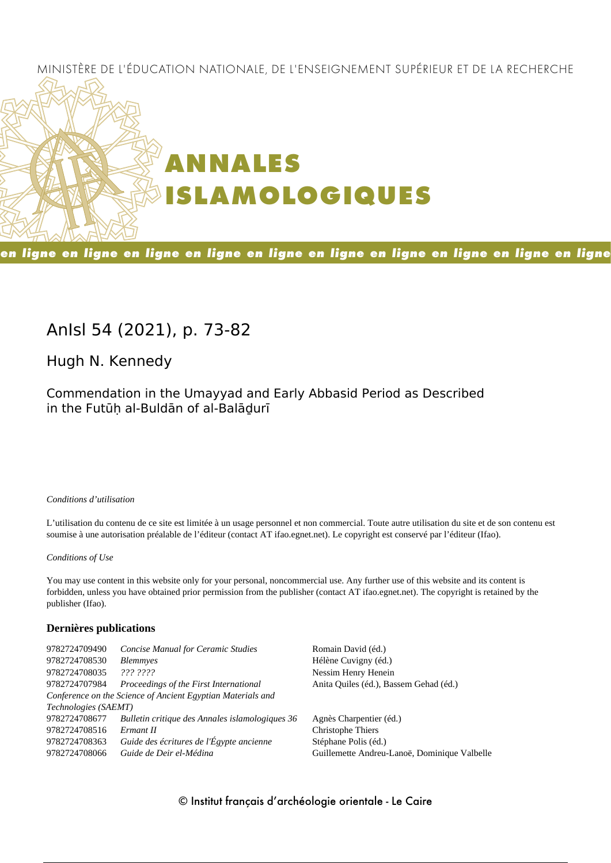# MINISTÈRE DE L'ÉDUCATION NATIONALE, DE L'ENSEIGNEMENT SUPÉRIEUR ET DE LA RECHERCHE



# en ligne en ligne en ligne en ligne en ligne en ligne en ligne en ligne en ligne en ligne

# **AnIsl 54 (2021), p. 73-82**

**Hugh N. Kennedy**

Commendation in the Umayyad and Early Abbasid Period as Described in the Futūḥ al‑Buldān of al‑Balāḏurī

#### *Conditions d'utilisation*

L'utilisation du contenu de ce site est limitée à un usage personnel et non commercial. Toute autre utilisation du site et de son contenu est soumise à une autorisation préalable de l'éditeur (contact AT ifao.egnet.net). Le copyright est conservé par l'éditeur (Ifao).

#### *Conditions of Use*

You may use content in this website only for your personal, noncommercial use. Any further use of this website and its content is forbidden, unless you have obtained prior permission from the publisher (contact AT ifao.egnet.net). The copyright is retained by the publisher (Ifao).

#### **Dernières publications**

| 9782724709490        | <b>Concise Manual for Ceramic Studies</b>                   | Romain David (éd.)                           |
|----------------------|-------------------------------------------------------------|----------------------------------------------|
| 9782724708530        | <b>Blemmyes</b>                                             | Hélène Cuvigny (éd.)                         |
| 9782724708035        | 222.2222                                                    | Nessim Henry Henein                          |
| 9782724707984        | Proceedings of the First International                      | Anita Quiles (éd.), Bassem Gehad (éd.)       |
|                      | Conference on the Science of Ancient Egyptian Materials and |                                              |
| Technologies (SAEMT) |                                                             |                                              |
| 9782724708677        | Bulletin critique des Annales islamologiques 36             | Agnès Charpentier (éd.)                      |
| 9782724708516        | Ermant II                                                   | Christophe Thiers                            |
| 9782724708363        | Guide des écritures de l'Égypte ancienne                    | Stéphane Polis (éd.)                         |
| 9782724708066        | Guide de Deir el-Médina                                     | Guillemette Andreu-Lanoë, Dominique Valbelle |
|                      |                                                             |                                              |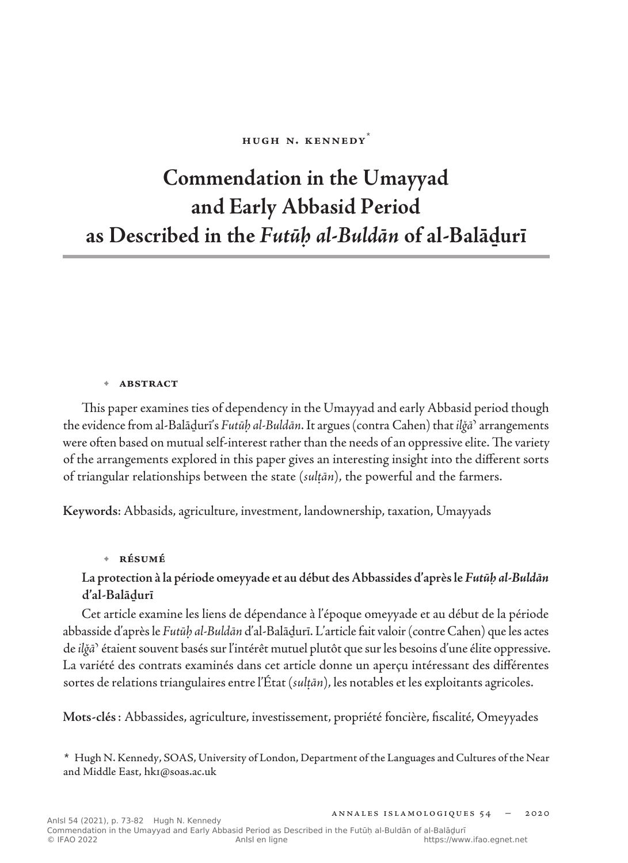#### **Hugh N. Kennedy**\*

# **Commendation in the Umayyad and Early Abbasid Period as Described in the** *Futūḥ al‑Buldān* **of al‑Balāḏurī**

#### **• abstract**

This paper examines ties of dependency in the Umayyad and early Abbasid period though the evidence from al-Balāḏurī's *Futūḥ al-Buldān*. It argues (contra Cahen) that *ilǧāʾ* arrangements were often based on mutual self-interest rather than the needs of an oppressive elite. The variety of the arrangements explored in this paper gives an interesting insight into the different sorts of triangular relationships between the state (*sulṭān*), the powerful and the farmers.

**Keywords**: Abbasids, agriculture, investment, landownership, taxation, Umayyads

#### **• résumé**

# **La protection à la période omeyyade et au début des Abbassides d'après le** *Futūḥ al-Buldān* **d'al-Balāḏurī**

Cet article examine les liens de dépendance à l'époque omeyyade et au début de la période abbasside d'après le *Futūḥ al-Buldān* d'al-Balāḏurī. L'article fait valoir (contre Cahen) que les actes de *ilǧāʾ* étaient souvent basés sur l'intérêt mutuel plutôt que sur les besoins d'une élite oppressive. La variété des contrats examinés dans cet article donne un aperçu intéressant des différentes sortes de relations triangulaires entre l'État (*sulṭān*), les notables et les exploitants agricoles.

**Mots-clés**: Abbassides, agriculture, investissement, propriété foncière, fiscalité, Omeyyades

**\*** Hugh N. Kennedy, SOAS, University of London, Department of the Languages and Cultures of the Near and Middle East, hk1@soas.ac.uk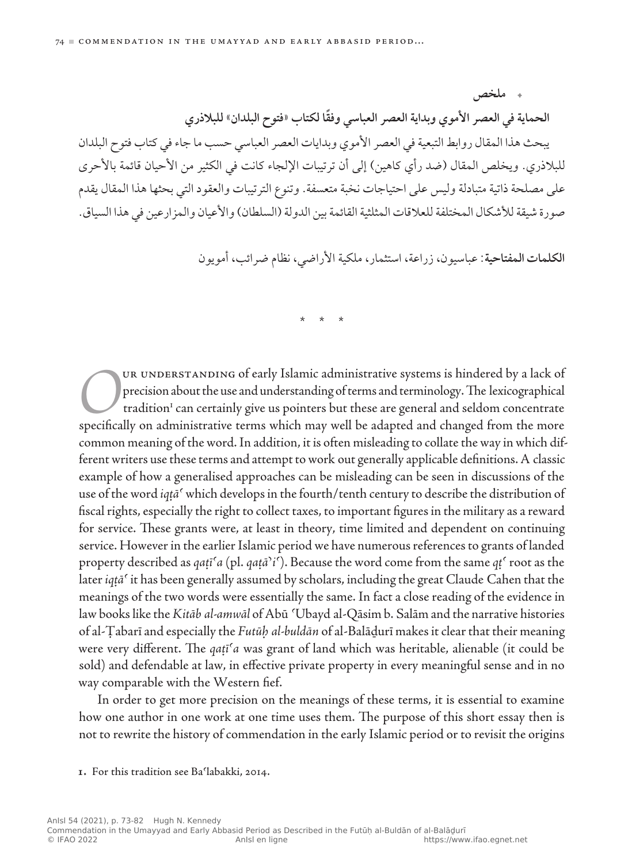**الحماية في العصر األموي وبداية العصر العباسي ً وفقا لكتاب »فتوح البلدان« للبالذري** يبحث هذا المقال روابط التبعية في العصر األموي وبدايات العصر العباسي حسب ما جاء في كتاب فتوح البلدان للبلاذري. ويخلص المقال (ضد رأي كاهين) إلى أن ترتيبات الإلجاء كانت في الكثير من الأحيان قائمة بالأحرى على مصلحة ذاتية متبادلة وليس على احتياجات نخبة متعسفة. وتنوع الترتيبات والعقود التي بحثها هذا المقال يقدم صورة شيقة للأشكال المختلفة للعلاقات المثلثية القائمة بين الدولة (السلطان) والأعيان والمزارعين في هذا السياق.

**الكلمات المفتاحية**: عباسيون، زراعة، استثمار، ملكية األراضي، نظام ضرائب، أمويون

 **ملخص**

\* \* \*

ORUR UNDERSTANDING of early Islamic administrative systems is hindered by a lack of precision about the use and understanding of terms and terminology. The lexicographical tradition<sup>1</sup> can certainly give us pointers but th precision about the use and understanding of terms and terminology. The lexicographical tradition<sup>1</sup> can certainly give us pointers but these are general and seldom concentrate common meaning of the word. In addition, it is often misleading to collate the way in which different writers use these terms and attempt to work out generally applicable definitions. A classic example of how a generalised approaches can be misleading can be seen in discussions of the use of the word *iqṭāʿ* which develops in the fourth/tenth century to describe the distribution of fiscal rights, especially the right to collect taxes, to important figures in the military as a reward for service. These grants were, at least in theory, time limited and dependent on continuing service. However in the earlier Islamic period we have numerous references to grants of landed property described as *qaṭīʿa* (pl. *qaṭāʾiʿ*). Because the word come from the same *qṭʿ* root as the later *iqṭāʿ* it has been generally assumed by scholars, including the great Claude Cahen that the meanings of the two words were essentially the same. In fact a close reading of the evidence in law books like the *Kitāb al‑amwāl* of Abū ʿUbayd al‑Qāsim b. Salām and the narrative histories of al‑Ṭabarī and especially the *Futūḥ al‑buldān* of al‑Balāḏurī makes it clear that their meaning were very different. The *qaṭīʿa* was grant of land which was heritable, alienable (it could be sold) and defendable at law, in effective private property in every meaningful sense and in no way comparable with the Western fief.

In order to get more precision on the meanings of these terms, it is essential to examine how one author in one work at one time uses them. The purpose of this short essay then is not to rewrite the history of commendation in the early Islamic period or to revisit the origins

**1.** For this tradition see Baʿlabakki, 2014.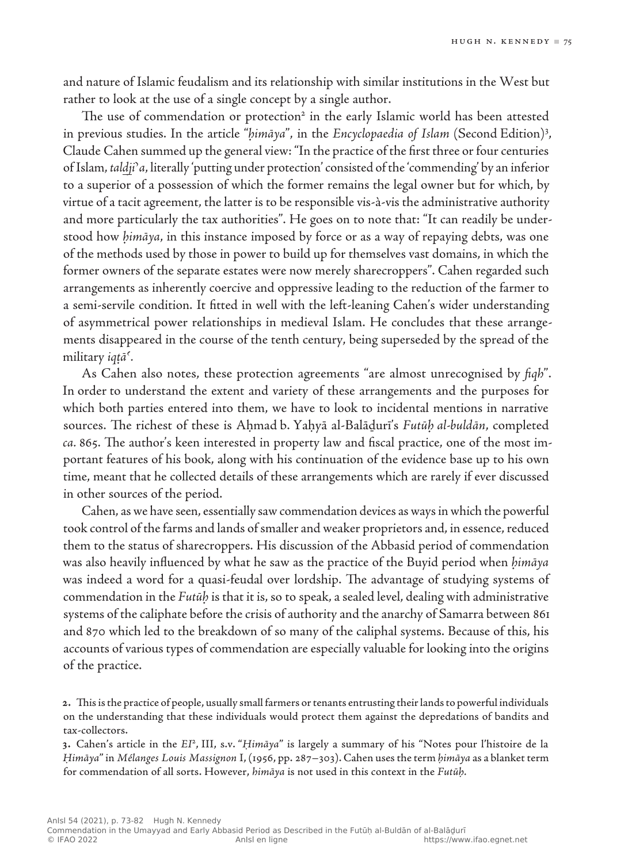and nature of Islamic feudalism and its relationship with similar institutions in the West but rather to look at the use of a single concept by a single author.

The use of commendation or protection<sup>2</sup> in the early Islamic world has been attested in previous studies. In the article "*ḥimāya*", in the *Encyclopaedia of Islam* (Second Edition)<sup>3</sup> , Claude Cahen summed up the general view: "In the practice of the first three or four centuries of Islam, *taldjiʾa*, literally 'putting under protection' consisted of the 'commending' by an inferior to a superior of a possession of which the former remains the legal owner but for which, by virtue of a tacit agreement, the latter is to be responsible vis‑à‑vis the administrative authority and more particularly the tax authorities". He goes on to note that: "It can readily be understood how *himāya*, in this instance imposed by force or as a way of repaying debts, was one of the methods used by those in power to build up for themselves vast domains, in which the former owners of the separate estates were now merely sharecroppers". Cahen regarded such arrangements as inherently coercive and oppressive leading to the reduction of the farmer to a semi-servile condition. It fitted in well with the left-leaning Cahen's wider understanding of asymmetrical power relationships in medieval Islam. He concludes that these arrangements disappeared in the course of the tenth century, being superseded by the spread of the military *iqṭāʿ.*

As Cahen also notes, these protection agreements "are almost unrecognised by *fiqh*". In order to understand the extent and variety of these arrangements and the purposes for which both parties entered into them, we have to look to incidental mentions in narrative sources. The richest of these is Aḥmad b. Yaḥyā al‑Balāḏurī's *Futūḥ al‑buldān*, completed *ca.* 865. The author's keen interested in property law and fiscal practice, one of the most important features of his book, along with his continuation of the evidence base up to his own time, meant that he collected details of these arrangements which are rarely if ever discussed in other sources of the period.

Cahen, as we have seen, essentially saw commendation devices as ways in which the powerful took control of the farms and lands of smaller and weaker proprietors and, in essence, reduced them to the status of sharecroppers. His discussion of the Abbasid period of commendation was also heavily influenced by what he saw as the practice of the Buyid period when *ḥimāya* was indeed a word for a quasi-feudal over lordship. The advantage of studying systems of commendation in the *Futūḥ* is that it is, so to speak, a sealed level, dealing with administrative systems of the caliphate before the crisis of authority and the anarchy of Samarra between 861 and 870 which led to the breakdown of so many of the caliphal systems. Because of this, his accounts of various types of commendation are especially valuable for looking into the origins of the practice.

**<sup>2</sup>.** This is the practice of people, usually small farmers or tenants entrusting their lands to powerful individuals on the understanding that these individuals would protect them against the depredations of bandits and tax‑collectors.

**<sup>3</sup>.** Cahen's article in the *EI*<sup>2</sup>, III, s.v. "*Ḥimāya*" is largely a summary of his "Notes pour l'histoire de la *Ḥimāya*" in *Mélanges Louis Massignon* I, (1956, pp. 287–303). Cahen uses the term *ḥimāya* as a blanket term for commendation of all sorts. However, *himāya* is not used in this context in the *Futūḥ.*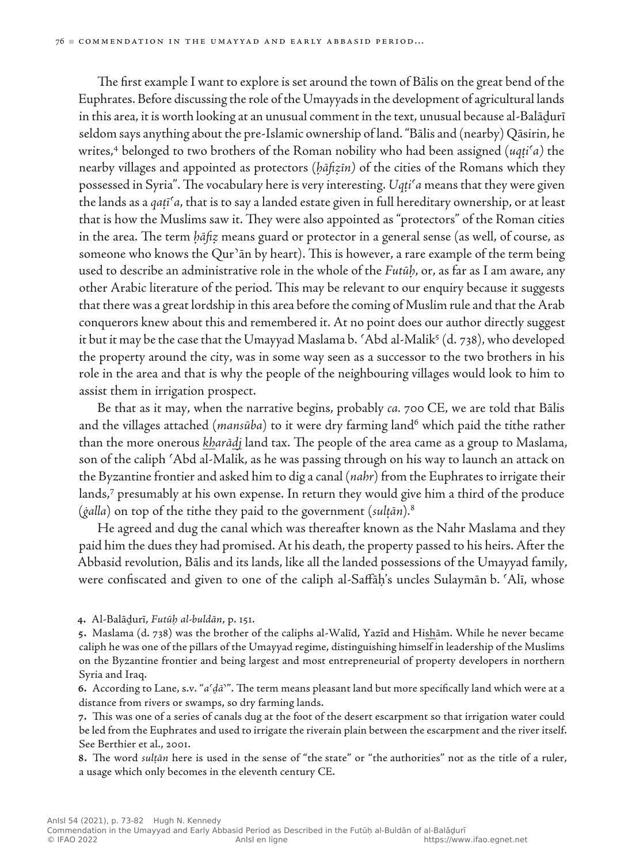The first example I want to explore is set around the town of Bālis on the great bend of the Euphrates. Before discussing the role of the Umayyads in the development of agricultural lands in this area, it is worth looking at an unusual comment in the text, unusual because al‑Balāḏurī seldom says anything about the pre-Islamic ownership of land. "Bālis and (nearby) Qāsirin, he writes,4 belonged to two brothers of the Roman nobility who had been assigned (*uqṭiʿa)* the nearby villages and appointed as protectors (*ḥāfiẓīn)* of the cities of the Romans which they possessed in Syria". The vocabulary here is very interesting. *Uqṭiʿa* means that they were given the lands as a *qaṭīʿa*, that is to say a landed estate given in full hereditary ownership, or at least that is how the Muslims saw it. They were also appointed as "protectors" of the Roman cities in the area. The term *ḥāfiẓ* means guard or protector in a general sense (as well, of course, as someone who knows the Qur'an by heart). This is however, a rare example of the term being used to describe an administrative role in the whole of the *Futūḥ*, or, as far as I am aware, any other Arabic literature of the period. This may be relevant to our enquiry because it suggests that there was a great lordship in this area before the coming of Muslim rule and that the Arab conquerors knew about this and remembered it. At no point does our author directly suggest it but it may be the case that the Umayyad Maslama b. 'Abd al-Malik $\delta$  (d. 738), who developed the property around the city, was in some way seen as a successor to the two brothers in his role in the area and that is why the people of the neighbouring villages would look to him to assist them in irrigation prospect.

Be that as it may, when the narrative begins, probably *ca.* 700 CE, we are told that Bālis and the villages attached (*mansūba*) to it were dry farming land<sup>6</sup> which paid the tithe rather than the more onerous *kharādj* land tax. The people of the area came as a group to Maslama, son of the caliph 'Abd al-Malik, as he was passing through on his way to launch an attack on the Byzantine frontier and asked him to dig a canal (*nahr*) from the Euphrates to irrigate their lands,7 presumably at his own expense. In return they would give him a third of the produce (*ġalla*) on top of the tithe they paid to the government (*sulṭān*)*.* 8

He agreed and dug the canal which was thereafter known as the Nahr Maslama and they paid him the dues they had promised. At his death, the property passed to his heirs. After the Abbasid revolution, Bālis and its lands, like all the landed possessions of the Umayyad family, were confiscated and given to one of the caliph al‑Saffāḥ's uncles Sulaymān b. ʿAlī, whose

**4.** Al-Balāḏurī, *Futūḥ al‑buldān*, p. 151.

**7.** This was one of a series of canals dug at the foot of the desert escarpment so that irrigation water could be led from the Euphrates and used to irrigate the riverain plain between the escarpment and the river itself. See Berthier et al., 2001.

**8.** The word *sulṭān* here is used in the sense of "the state" or "the authorities" not as the title of a ruler, a usage which only becomes in the eleventh century CE.

**<sup>5</sup>.** Maslama (d. 738) was the brother of the caliphs al‑Walīd, Yazīd and Hishām. While he never became caliph he was one of the pillars of the Umayyad regime, distinguishing himself in leadership of the Muslims on the Byzantine frontier and being largest and most entrepreneurial of property developers in northern Syria and Iraq.

**<sup>6</sup>.** According to Lane, s.v. "*aʿḏāʾ*". The term means pleasant land but more specifically land which were at a distance from rivers or swamps, so dry farming lands.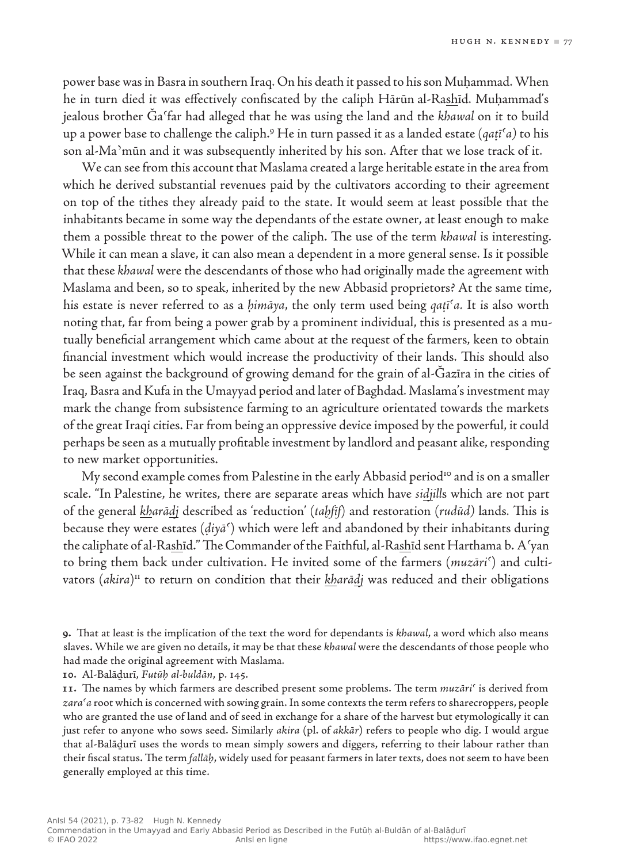power base was in Basra in southern Iraq. On his death it passed to his son Muḥammad. When he in turn died it was effectively confiscated by the caliph Hārūn al‑Rashīd. Muḥammad's jealous brother Ǧaʿfar had alleged that he was using the land and the *khawal* on it to build up a power base to challenge the caliph.9 He in turn passed it as a landed estate (*qaṭīʿa)* to his son al-Ma'mūn and it was subsequently inherited by his son. After that we lose track of it.

We can see from this account that Maslama created a large heritable estate in the area from which he derived substantial revenues paid by the cultivators according to their agreement on top of the tithes they already paid to the state. It would seem at least possible that the inhabitants became in some way the dependants of the estate owner, at least enough to make them a possible threat to the power of the caliph. The use of the term *khawal* is interesting. While it can mean a slave, it can also mean a dependent in a more general sense. Is it possible that these *khawal* were the descendants of those who had originally made the agreement with Maslama and been, so to speak, inherited by the new Abbasid proprietors? At the same time, his estate is never referred to as a *ḥimāya*, the only term used being *qaṭīʿa.* It is also worth noting that, far from being a power grab by a prominent individual, this is presented as a mutually beneficial arrangement which came about at the request of the farmers, keen to obtain financial investment which would increase the productivity of their lands. This should also be seen against the background of growing demand for the grain of al‑Ǧazīra in the cities of Iraq, Basra and Kufa in the Umayyad period and later of Baghdad. Maslama's investment may mark the change from subsistence farming to an agriculture orientated towards the markets of the great Iraqi cities. Far from being an oppressive device imposed by the powerful, it could perhaps be seen as a mutually profitable investment by landlord and peasant alike, responding to new market opportunities.

My second example comes from Palestine in the early Abbasid period<sup>10</sup> and is on a smaller scale. "In Palestine, he writes, there are separate areas which have *sidjill*s which are not part of the general *kharādj* described as 'reduction' (*taḫfīf*) and restoration (*rudūd)* lands*.* This is because they were estates (*ḍiyāʿ*) which were left and abandoned by their inhabitants during the caliphate of al‑Rashīd." The Commander of the Faithful, al‑Rashīd sent Harthama b. Aʿyan to bring them back under cultivation. He invited some of the farmers (*muzāriʿ*) and cultivators (akira)<sup>11</sup> to return on condition that their *kharād*j was reduced and their obligations

**9.** That at least is the implication of the text the word for dependants is *khawal*, a word which also means slaves. While we are given no details, it may be that these *khawal* were the descendants of those people who had made the original agreement with Maslama.

**10.** Al-Balāḏurī, *Futūḥ al‑buldān*, p. 145.

**11.** The names by which farmers are described present some problems. The term *muzāriʿ* is derived from *zaraʿa* root which is concerned with sowing grain. In some contexts the term refers to sharecroppers, people who are granted the use of land and of seed in exchange for a share of the harvest but etymologically it can just refer to anyone who sows seed. Similarly *akira* (pl. of *akkār*) refers to people who dig. I would argue that al‑Balāḏurī uses the words to mean simply sowers and diggers, referring to their labour rather than their fiscal status. The term *fallāḥ*, widely used for peasant farmers in later texts, does not seem to have been generally employed at this time.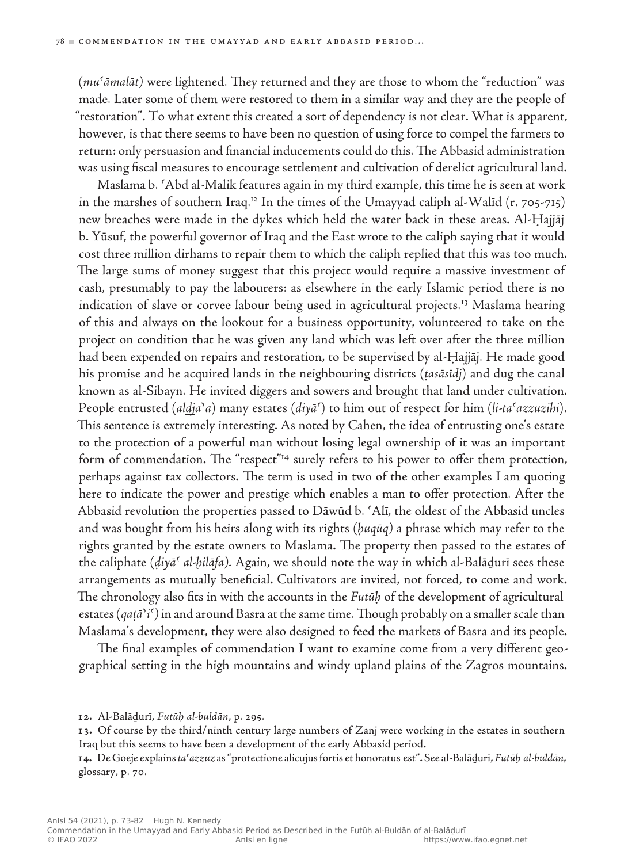(*muʿāmalāt)* were lightened. They returned and they are those to whom the "reduction" was made. Later some of them were restored to them in a similar way and they are the people of "restoration". To what extent this created a sort of dependency is not clear. What is apparent, however, is that there seems to have been no question of using force to compel the farmers to return: only persuasion and financial inducements could do this. The Abbasid administration was using fiscal measures to encourage settlement and cultivation of derelict agricultural land.

Maslama b. ʿAbd al-Malik features again in my third example, this time he is seen at work in the marshes of southern Iraq.<sup>12</sup> In the times of the Umayyad caliph al-Walid  $(r. 705-715)$ new breaches were made in the dykes which held the water back in these areas. Al-Ḥajjāj b. Yūsuf, the powerful governor of Iraq and the East wrote to the caliph saying that it would cost three million dirhams to repair them to which the caliph replied that this was too much. The large sums of money suggest that this project would require a massive investment of cash, presumably to pay the labourers: as elsewhere in the early Islamic period there is no indication of slave or corvee labour being used in agricultural projects.<sup>13</sup> Maslama hearing of this and always on the lookout for a business opportunity, volunteered to take on the project on condition that he was given any land which was left over after the three million had been expended on repairs and restoration, to be supervised by al-Hajjāj. He made good his promise and he acquired lands in the neighbouring districts (*ṭasāsīdj*) and dug the canal known as al-Sibayn. He invited diggers and sowers and brought that land under cultivation. People entrusted (*aldjaʾa*) many estates (*diyāʿ*) to him out of respect for him (*li-taʿazzuzihi*). This sentence is extremely interesting. As noted by Cahen, the idea of entrusting one's estate to the protection of a powerful man without losing legal ownership of it was an important form of commendation. The "respect"<sup>14</sup> surely refers to his power to offer them protection, perhaps against tax collectors. The term is used in two of the other examples I am quoting here to indicate the power and prestige which enables a man to offer protection. After the Abbasid revolution the properties passed to Dāwūd b. ʿAlī, the oldest of the Abbasid uncles and was bought from his heirs along with its rights (*ḥuqūq)* a phrase which may refer to the rights granted by the estate owners to Maslama. The property then passed to the estates of the caliphate (*ḍiyāʿ al‑ḫilāfa).* Again, we should note the way in which al-Balāḏurī sees these arrangements as mutually beneficial. Cultivators are invited, not forced, to come and work. The chronology also fits in with the accounts in the *Futūḥ* of the development of agricultural estates (*qaṭāʾiʿ)* in and around Basra at the same time. Though probably on a smaller scale than Maslama's development, they were also designed to feed the markets of Basra and its people.

The final examples of commendation I want to examine come from a very different geographical setting in the high mountains and windy upland plains of the Zagros mountains.

**13.** Of course by the third/ninth century large numbers of Zanj were working in the estates in southern Iraq but this seems to have been a development of the early Abbasid period.

**14.** De Goeje explains *taʿazzuz* as "protectione alicujus fortis et honoratus est". See al‑Balāḏurī, *Futūḥ al‑buldān*, glossary, p. 70.

**<sup>12</sup>.** Al-Balāḏurī, *Futūḥ al-buldān*, p. 295.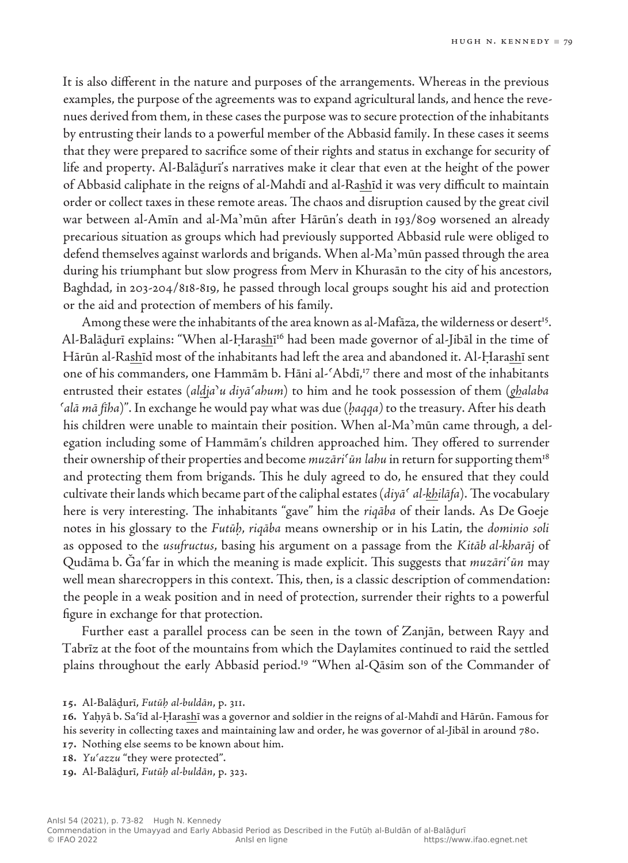It is also different in the nature and purposes of the arrangements. Whereas in the previous examples, the purpose of the agreements was to expand agricultural lands, and hence the revenues derived from them, in these cases the purpose was to secure protection of the inhabitants by entrusting their lands to a powerful member of the Abbasid family. In these cases it seems that they were prepared to sacrifice some of their rights and status in exchange for security of life and property. Al‑Balāḏurī's narratives make it clear that even at the height of the power of Abbasid caliphate in the reigns of al‑Mahdī and al‑Rashīd it was very difficult to maintain order or collect taxes in these remote areas. The chaos and disruption caused by the great civil war between al‑Amīn and al‑Maʾmūn after Hārūn's death in 193/809 worsened an already precarious situation as groups which had previously supported Abbasid rule were obliged to defend themselves against warlords and brigands. When al‑Maʾmūn passed through the area during his triumphant but slow progress from Merv in Khurasān to the city of his ancestors, Baghdad, in 203-204/818-819, he passed through local groups sought his aid and protection or the aid and protection of members of his family.

Among these were the inhabitants of the area known as al-Mafāza, the wilderness or desert<sup>15</sup>. Al-Balāḍurī explains: "When al-Ḥarashī<sup>16</sup> had been made governor of al-Jibāl in the time of Hārūn al‑Rashīd most of the inhabitants had left the area and abandoned it. Al‑Ḥarashī sent one of his commanders, one Hammām b. Hāni al‑ʿAbdī,17 there and most of the inhabitants entrusted their estates (*aldjaʾu diyāʿahum*) to him and he took possession of them (*ghalaba ʿalā mā fīha*)". In exchange he would pay what was due (*ḥaqqa)* to the treasury. After his death his children were unable to maintain their position. When al-Ma'mūn came through, a delegation including some of Hammām's children approached him. They offered to surrender their ownership of their properties and become *muzāriʿūn lahu* in return for supporting them<sup>18</sup> and protecting them from brigands. This he duly agreed to do, he ensured that they could cultivate their lands which became part of the caliphal estates (*diyāʿ al‑khilāfa*).The vocabulary here is very interesting. The inhabitants "gave" him the *riqāba* of their lands. As De Goeje notes in his glossary to the *Futūḥ*, *riqāba* means ownership or in his Latin, the *dominio soli* as opposed to the *usufructus*, basing his argument on a passage from the *Kitāb al‑kharāj* of Qudāma b. Ǧaʿfar in which the meaning is made explicit. This suggests that *muzāriʿūn* may well mean sharecroppers in this context. This, then, is a classic description of commendation: the people in a weak position and in need of protection, surrender their rights to a powerful figure in exchange for that protection.

Further east a parallel process can be seen in the town of Zanjān, between Rayy and Tabrīz at the foot of the mountains from which the Daylamites continued to raid the settled plains throughout the early Abbasid period.<sup>19</sup> "When al-Qāsim son of the Commander of

**<sup>15</sup>.** Al-Balāḏurī, *Futūḥ al‑buldān*, p. 311.

**<sup>16</sup>.** Yaḥyā b. Saʿīd al‑Ḥarashī was a governor and soldier in the reigns of al‑Mahdī and Hārūn. Famous for his severity in collecting taxes and maintaining law and order, he was governor of al-Jibāl in around 780.

**<sup>17</sup>.** Nothing else seems to be known about him.

**<sup>18</sup>.** *Yuʿazzu* "they were protected".

**<sup>19</sup>.** Al-Balāḏurī, *Futūḥ al‑buldān*, p. 323.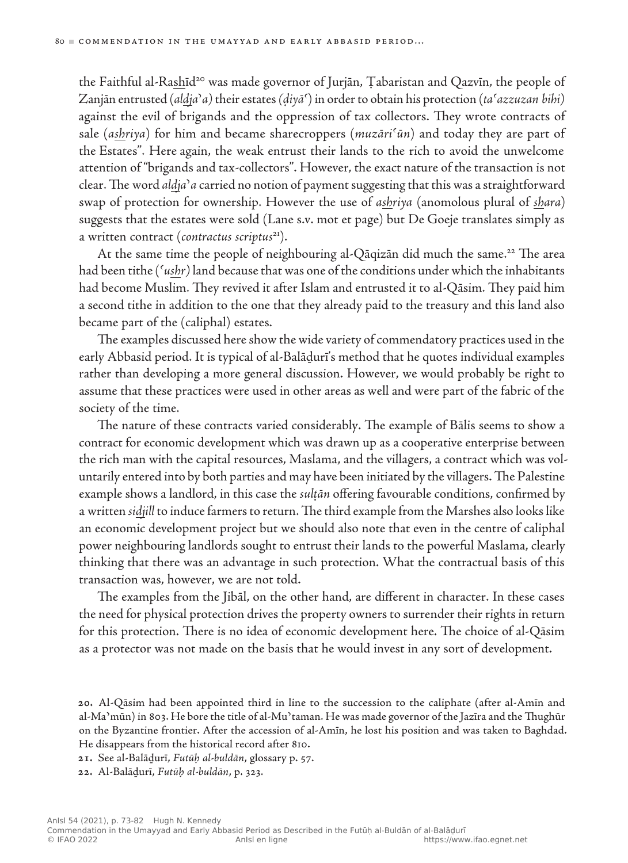the Faithful al-Rashīd<sup>20</sup> was made governor of Jurjān, Țabaristan and Qazvīn, the people of Zanjān entrusted (*aldjaʾa)* their estates *(ḍiyāʿ*) in order to obtain his protection (*taʿazzuzan bihi)*  against the evil of brigands and the oppression of tax collectors. They wrote contracts of sale (*ashriya*) for him and became sharecroppers (*muzāriʿūn*) and today they are part of the Estates". Here again, the weak entrust their lands to the rich to avoid the unwelcome attention of "brigands and tax‑collectors". However, the exact nature of the transaction is not clear. The word *aldjaʾa* carried no notion of payment suggesting that this was a straightforward swap of protection for ownership. However the use of *ashriya* (anomolous plural of *shara*) suggests that the estates were sold (Lane s.v. mot et page) but De Goeje translates simply as a written contract (*contractus scriptus*21).

At the same time the people of neighbouring al-Qāqizān did much the same.<sup>22</sup> The area had been tithe (*ʿushr)* land because that was one of the conditions under which the inhabitants had become Muslim. They revived it after Islam and entrusted it to al-Qāsim. They paid him a second tithe in addition to the one that they already paid to the treasury and this land also became part of the (caliphal) estates.

The examples discussed here show the wide variety of commendatory practices used in the early Abbasid period. It is typical of al‑Balāḏurī's method that he quotes individual examples rather than developing a more general discussion. However, we would probably be right to assume that these practices were used in other areas as well and were part of the fabric of the society of the time.

The nature of these contracts varied considerably. The example of Bālis seems to show a contract for economic development which was drawn up as a cooperative enterprise between the rich man with the capital resources, Maslama, and the villagers, a contract which was voluntarily entered into by both parties and may have been initiated by the villagers. The Palestine example shows a landlord, in this case the *sulṭān* offering favourable conditions, confirmed by a written *sidjill* to induce farmers to return. The third example from the Marshes also looks like an economic development project but we should also note that even in the centre of caliphal power neighbouring landlords sought to entrust their lands to the powerful Maslama, clearly thinking that there was an advantage in such protection. What the contractual basis of this transaction was, however, we are not told.

The examples from the Jibāl, on the other hand, are different in character. In these cases the need for physical protection drives the property owners to surrender their rights in return for this protection. There is no idea of economic development here. The choice of al‑Qāsim as a protector was not made on the basis that he would invest in any sort of development.

**20.** Al-Qāsim had been appointed third in line to the succession to the caliphate (after al‑Amīn and al‑Maʾmūn) in 803. He bore the title of al‑Muʾtaman. He was made governor of the Jazīra and the Thughūr on the Byzantine frontier. After the accession of al-Amīn, he lost his position and was taken to Baghdad. He disappears from the historical record after 810.

**21.** See al-Balāḏurī, *Futūḥ al‑buldān*, glossary p. 57.

**22.** Al-Balāḏurī, *Futūḥ al‑buldān*, p. 323.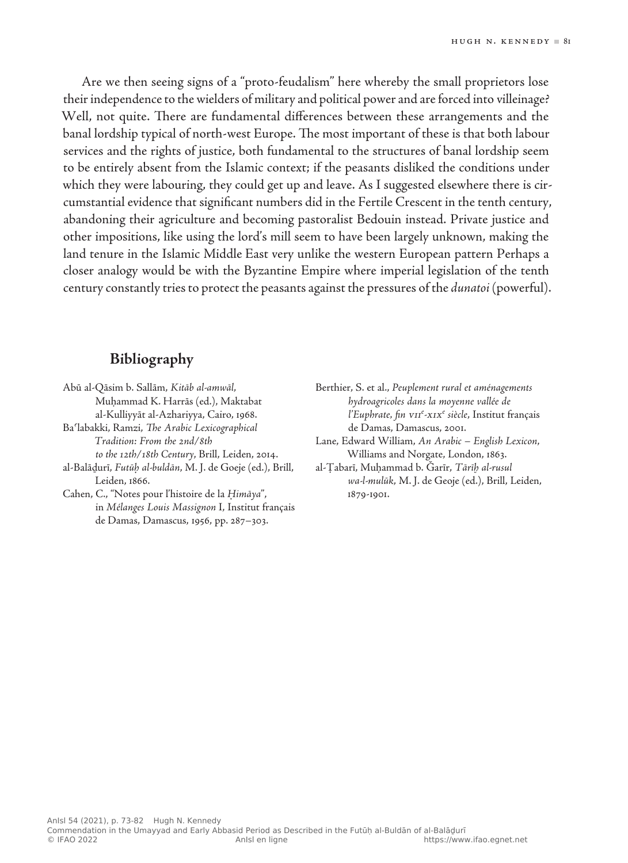Are we then seeing signs of a "proto-feudalism" here whereby the small proprietors lose their independence to the wielders of military and political power and are forced into villeinage? Well, not quite. There are fundamental differences between these arrangements and the banal lordship typical of north-west Europe. The most important of these is that both labour services and the rights of justice, both fundamental to the structures of banal lordship seem to be entirely absent from the Islamic context; if the peasants disliked the conditions under which they were labouring, they could get up and leave. As I suggested elsewhere there is circumstantial evidence that significant numbers did in the Fertile Crescent in the tenth century, abandoning their agriculture and becoming pastoralist Bedouin instead. Private justice and other impositions, like using the lord's mill seem to have been largely unknown, making the land tenure in the Islamic Middle East very unlike the western European pattern Perhaps a closer analogy would be with the Byzantine Empire where imperial legislation of the tenth century constantly tries to protect the peasants against the pressures of the *dunatoi* (powerful).

### **Bibliography**

Abū al-Qāsim b. Sallām, *Kitāb al-amwāl*, Muḥammad K. Harrās (ed.), Maktabat al‑Kulliyyāt al‑Azhariyya, Cairo, 1968.

Baʿlabakki, Ramzi, *The Arabic Lexicographical Tradition: From the 2nd/8th to the 12th/18th Century*, Brill, Leiden, 2014.

al-Balāḏurī, *Futūḥ al-buldān*, M. J. de Goeje (ed.), Brill, Leiden, 1866.

Cahen, C., "Notes pour l'histoire de la *Ḥimāya*", in *Mélanges Louis Massignon* I, Institut français de Damas, Damascus, 1956, pp. 287–303.

Berthier, S. et al., *Peuplement rural et aménagements hydroagricoles dans la moyenne vallée de l'Euphrate, fin vii<sup>e</sup> -xixe siècle*, Institut français de Damas, Damascus, 2001.

Lane, Edward William, *An Arabic – English Lexicon*, Williams and Norgate, London, 1863.

al-Ṭabarī, Muḥammad b. Ǧarīr, *Tārīḫ al-rusul wa-l-mulūk*, M. J. de Geoje (ed.), Brill, Leiden, 1879-1901.